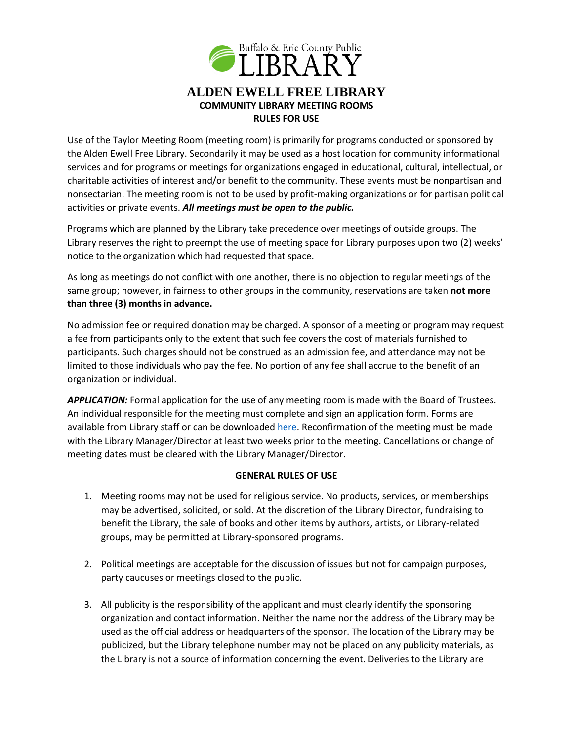

Use of the Taylor Meeting Room (meeting room) is primarily for programs conducted or sponsored by the Alden Ewell Free Library. Secondarily it may be used as a host location for community informational services and for programs or meetings for organizations engaged in educational, cultural, intellectual, or charitable activities of interest and/or benefit to the community. These events must be nonpartisan and nonsectarian. The meeting room is not to be used by profit-making organizations or for partisan political activities or private events. *All meetings must be open to the public.*

Programs which are planned by the Library take precedence over meetings of outside groups. The Library reserves the right to preempt the use of meeting space for Library purposes upon two (2) weeks' notice to the organization which had requested that space.

As long as meetings do not conflict with one another, there is no objection to regular meetings of the same group; however, in fairness to other groups in the community, reservations are taken **not more than three (3) months in advance.**

No admission fee or required donation may be charged. A sponsor of a meeting or program may request a fee from participants only to the extent that such fee covers the cost of materials furnished to participants. Such charges should not be construed as an admission fee, and attendance may not be limited to those individuals who pay the fee. No portion of any fee shall accrue to the benefit of an organization or individual.

*APPLICATION:* Formal application for the use of any meeting room is made with the Board of Trustees. An individual responsible for the meeting must complete and sign an application form. Forms are available from Library staff or can be downloade[d here.](https://www.aldenewellfreelibrary.com/wp-content/uploads/2022/01/Request-for-Meeting-Room.pdf) Reconfirmation of the meeting must be made with the Library Manager/Director at least two weeks prior to the meeting. Cancellations or change of meeting dates must be cleared with the Library Manager/Director.

## **GENERAL RULES OF USE**

- 1. Meeting rooms may not be used for religious service. No products, services, or memberships may be advertised, solicited, or sold. At the discretion of the Library Director, fundraising to benefit the Library, the sale of books and other items by authors, artists, or Library-related groups, may be permitted at Library-sponsored programs.
- 2. Political meetings are acceptable for the discussion of issues but not for campaign purposes, party caucuses or meetings closed to the public.
- 3. All publicity is the responsibility of the applicant and must clearly identify the sponsoring organization and contact information. Neither the name nor the address of the Library may be used as the official address or headquarters of the sponsor. The location of the Library may be publicized, but the Library telephone number may not be placed on any publicity materials, as the Library is not a source of information concerning the event. Deliveries to the Library are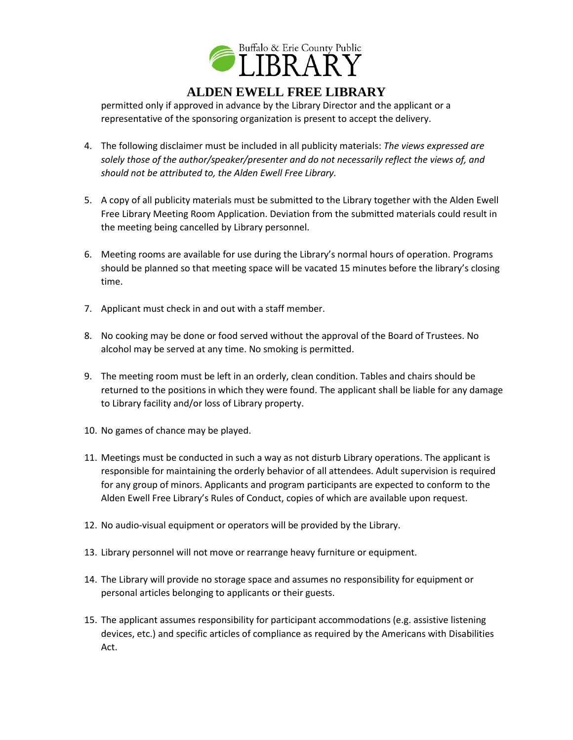

## **ALDEN EWELL FREE LIBRARY**

permitted only if approved in advance by the Library Director and the applicant or a representative of the sponsoring organization is present to accept the delivery.

- 4. The following disclaimer must be included in all publicity materials: *The views expressed are solely those of the author/speaker/presenter and do not necessarily reflect the views of, and should not be attributed to, the Alden Ewell Free Library.*
- 5. A copy of all publicity materials must be submitted to the Library together with the Alden Ewell Free Library Meeting Room Application. Deviation from the submitted materials could result in the meeting being cancelled by Library personnel.
- 6. Meeting rooms are available for use during the Library's normal hours of operation. Programs should be planned so that meeting space will be vacated 15 minutes before the library's closing time.
- 7. Applicant must check in and out with a staff member.
- 8. No cooking may be done or food served without the approval of the Board of Trustees. No alcohol may be served at any time. No smoking is permitted.
- 9. The meeting room must be left in an orderly, clean condition. Tables and chairs should be returned to the positions in which they were found. The applicant shall be liable for any damage to Library facility and/or loss of Library property.
- 10. No games of chance may be played.
- 11. Meetings must be conducted in such a way as not disturb Library operations. The applicant is responsible for maintaining the orderly behavior of all attendees. Adult supervision is required for any group of minors. Applicants and program participants are expected to conform to the Alden Ewell Free Library's Rules of Conduct, copies of which are available upon request.
- 12. No audio-visual equipment or operators will be provided by the Library.
- 13. Library personnel will not move or rearrange heavy furniture or equipment.
- 14. The Library will provide no storage space and assumes no responsibility for equipment or personal articles belonging to applicants or their guests.
- 15. The applicant assumes responsibility for participant accommodations (e.g. assistive listening devices, etc.) and specific articles of compliance as required by the Americans with Disabilities Act.